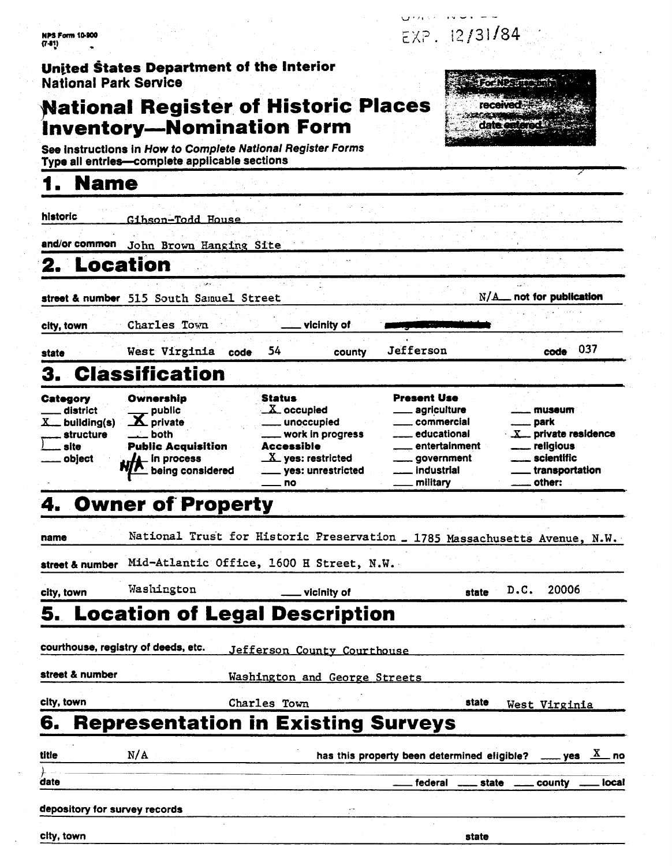**NPS Form 10-900**<br>(7-81)

#### **United States Department of the Interior National Park Service**

# **yational Register of Historic Places Inventory-Nomination Form**   $E X P. 12/31/84$ <br>
C Places<br>
Morms<br>
orms<br>
of  $\frac{N/\Delta_{\text{m}} \text{ not for publication}}{\text{boundary. Jefferson}}$ <br>
Present Use

**See instructions in How to Complete National Register Forms Type all entrles-complete applicable sections** -

وميا

# **1. Name**

| historic | Cihson-Todd House |  |  |  |
|----------|-------------------|--|--|--|
|          |                   |  |  |  |

and/or common John Brown Hanging Site

# **2. Location**

street & number 515 South Samuel Street *N/A not for publication* <u>- vicinity</u>

**Charles**  Tom

**Jefferson** 037

*/I* 

city, town

#### state **West Virginia**  code **54 3. Classification**

| ----                                                                                  |                                                                                                                                                                                             |                                                                                                                                               |                                                                                                                                            |                                                                                                                                      |
|---------------------------------------------------------------------------------------|---------------------------------------------------------------------------------------------------------------------------------------------------------------------------------------------|-----------------------------------------------------------------------------------------------------------------------------------------------|--------------------------------------------------------------------------------------------------------------------------------------------|--------------------------------------------------------------------------------------------------------------------------------------|
|                                                                                       | 3. Classification                                                                                                                                                                           |                                                                                                                                               |                                                                                                                                            |                                                                                                                                      |
| Category<br>district<br>$X$ building(s)<br>__ structure<br><u>__</u> site<br>. object | Ownership<br>$\overline{\mathbf{X}}$ public<br>$\overline{\mathbf{X}}$ private<br>___ both<br><b>Public Acquisition</b><br>$M/\hbar$ in process<br>$M/\hbar$ being cons<br>being considered | <b>Status</b><br>$X$ occupied<br>unoccupied.<br>___ work in progress<br><b>Accessible</b><br>$X$ yes: restricted<br>yes: unrestricted<br>— no | <b>Present Use</b><br><u>__</u> __ agriculture<br>.commercial<br>educational<br>entertainment<br>. government<br>industrial<br>__ militarv | museum<br><u>. park</u><br>X <sub>_</sub> private residence<br><u>_</u> __ religious<br>__ scientific<br>transportation<br>__ other: |
|                                                                                       | $\blacksquare$                                                                                                                                                                              |                                                                                                                                               |                                                                                                                                            |                                                                                                                                      |

# **4. Owner of Property**

county

| name            |                                     | National Trust for Historic Preservation _ 1785 Massachusetts Avenue, N.W. |       |               |  |
|-----------------|-------------------------------------|----------------------------------------------------------------------------|-------|---------------|--|
| street & number |                                     | Mid-Atlantic Office, 1600 H Street, N.W.                                   |       |               |  |
| city, town      | Washington                          | vicinity of                                                                | state | 20006<br>D.C. |  |
|                 |                                     | <b>5. Location of Legal Description</b>                                    |       |               |  |
|                 | courthouse, registry of deeds, etc. | Jefferson County Courthouse                                                |       |               |  |
| street & number |                                     | Washington and George Streets                                              |       |               |  |
| city, town      |                                     | Charles Town                                                               | state | West Virginia |  |

# **6. Representation in Existing Surveys**

| city, town |                                       | Charles Town |                                                                   | state | West Virginia                                   |  |
|------------|---------------------------------------|--------------|-------------------------------------------------------------------|-------|-------------------------------------------------|--|
|            | 6. Representation in Existing Surveys |              |                                                                   |       |                                                 |  |
| title      | N/A                                   |              | has this property been determined eligible? _____ yes $\Delta$ no |       |                                                 |  |
| date       |                                       |              |                                                                   |       | ____ federal ____ state _____ county ____ local |  |
|            | depository for survey records         |              |                                                                   |       |                                                 |  |
|            |                                       |              |                                                                   |       |                                                 |  |

city, town

state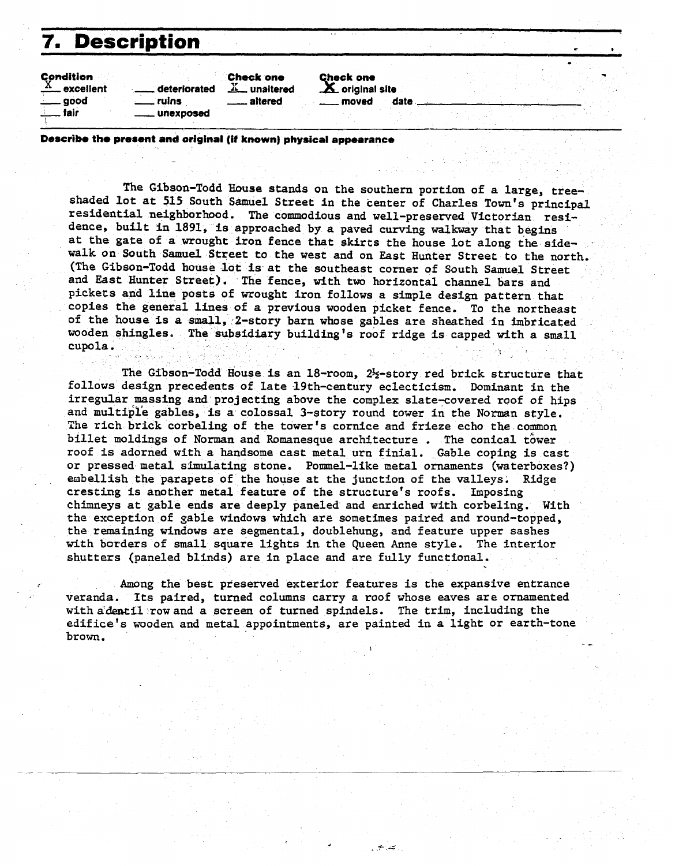# **7. Description**

| 7.                                                       | <b>Description</b>                 |                                               |                                                                 |  |  |
|----------------------------------------------------------|------------------------------------|-----------------------------------------------|-----------------------------------------------------------------|--|--|
| Condition<br>$\triangle$ excellent<br>___ good<br>— fair | deteriorated<br>ruins<br>unexposed | <b>Check one</b><br>Х<br>unaltered<br>altered | <b>Check one</b><br>$\mathbf{X}$ original site<br>date<br>moved |  |  |

-

**Describe the present and original (if known) physical appearance** 

The Gibson-Todd House stands on the southern portion of a large, treeshaded lot at 515 South Samuel Street in the center of Charles Town's principd residential neighborhood. The commodious and well-preserved Victorian residence, built in 1891, is approached by a paved curving **walkway** that begins at the gate of a wrought iron fence that skirts the house lot along the sidewalk on South Samuel Street to the west and on East Hunter Street to the north. (The Gibson-Todd house lot is at the southeast corner of South Samuel Street and East Hunter Street). The fence, with two horizontal channel bars and pickets and line posts of wrought iron follows a simple design pattern that copies the general lines of a previous wooden picket fence. To the northeast of the house is a small, 2-story barn whose gables are sheathed in imbricated wooden shingles. The subsidiary building's roof ridge is capped with a small cupola.

**The** Gibson-Todd House is an 18-room, 2%-story red brick structure that follows design precedents of late 19th-century eclecticism. Dominant in the irregular massing and projecting above the complex slate-covered roof of hips and multiple gables, is a colossal 3-story round tower in the Norman style. The rich brick corbeling of the tower's cornice and frieze echo the common billet moldings of Norman and Romanesque architecture . The conical tower roof is adorned with a handsome cast metal urn finial. Gable coping is cast or pressed metal simulating stone. Pommel-like metal ornaments (waterboxes?) embellish the parapets of the house at the junction of the valleys. Ridge cresting is another metal feature of the structure's roofs. Imposing chimneys at gable ends are deeply paneled and enriched with corbeling. With the exception of gable windows which are sometimes paired and round-topped, the remaining windows are segmental, doublehung, and feature upper sashes with borders of small square lights in the Queen Anne style. The interior shutters (paneled blinds) are in place **and** are fully functional.

Among the best preserved exterior features is the expansive entrance veranda. Its paired, turned columns carry a roof whose eaves are ornamented withadenti1 rowand a screen of turned spindels. **The** trim, including the edifice's wooden and metal appointments, are painted in a light or earth-tone  $\mathbf{rown.}$ 

್ಲಿ ಮ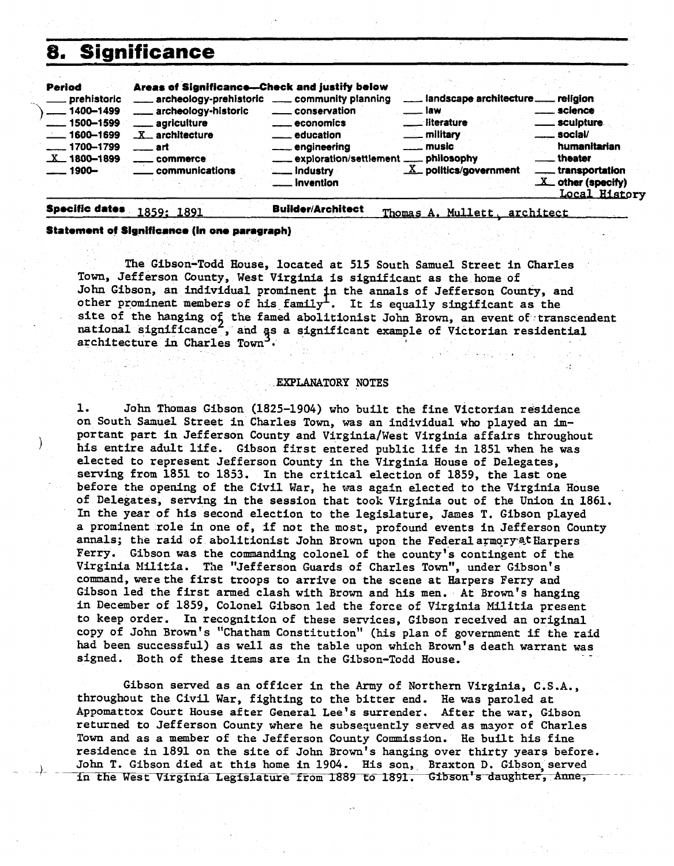# 8. Significance

| Period                            | Areas of Significance-Check and justify below  |                                          |                                     |                     |
|-----------------------------------|------------------------------------------------|------------------------------------------|-------------------------------------|---------------------|
| prehistoric                       | archeology-prehistoric ____ community planning |                                          | Let landscape architecture          | religion            |
| 1400-1499                         | archeology-historic                            | conservation                             | law                                 | science             |
| $\frac{1500 - 1599}{1500 - 1599}$ | . agriculture                                  | <u>__</u> __ economics                   | Hiterature                          | sculpture.          |
| <u>. 1600–1699</u>                | X architecture                                 | <u>____</u> education                    | ___ military                        | ___ social/         |
| $-1700 - 1799$                    | — art                                          | <u>___</u> engineering                   | <u>.</u> music                      | humanitarian        |
| $X$ 1800-1899                     | commerce                                       | __ exploration/settlement ___ philosophy |                                     | theater             |
| — 1900—                           | communications                                 | <u>__</u> Industry                       | $\underline{X}$ politics/government | transportation      |
|                                   |                                                | . Invention                              |                                     | $X$ other (specify) |
|                                   |                                                |                                          |                                     | Local History       |
| <b>Specific dates</b>             | 1850. 1801                                     | <b>Builder/Architect</b>                 | $M_{11}11a++$<br>Thomas A           | areh <sub>1</sub>   |

Thomas A. Mullett, architect

<u> 1859: 1891</u> **Statement of Significance (in one paragraph)** 

> The Gibson-Todd House, located at 515 South Samuel Street in Charles Town, Jefferson County, West Virginia is significant as the home of John Gibson, an individual prominent in the annals of Jefferson County, and other prominent members of his family<sup>1</sup>. It is equally singificant as the site of the hanging of the famed abolitionist John Brown, an event of transcendent national significance, and as a significant example of Victorian residential architecture in Charles Town<sup>3</sup>.

#### EXPLANATORY NOTES

John Thomas Gibson (1825-1904) who built the fine Victorian residence 1. on South Samuel Street in Charles Town, was an individual who played an important part in Jefferson County and Virginia/West Virginia affairs throughout his entire adult life. Gibson first entered public life in 1851 when he was elected to represent Jefferson County in the Virginia House of Delegates, serving from 1851 to 1853. In the critical election of 1859, the last one before the opening of the Civil War, he was again elected to the Virginia House of Delegates, serving in the session that took Virginia out of the Union in 1861. In the year of his second election to the legislature, James T. Gibson played a prominent role in one of, if not the most, profound events in Jefferson County annals; the raid of abolitionist John Brown upon the Federal armory at Harpers Ferry. Gibson was the commanding colonel of the county's contingent of the Virginia Militia. The "Jefferson Guards of Charles Town", under Gibson's command, were the first troops to arrive on the scene at Harpers Ferry and Gibson led the first armed clash with Brown and his men. At Brown's hanging in December of 1859, Colonel Gibson led the force of Virginia Militia present to keep order. In recognition of these services, Gibson received an original copy of John Brown's "Chatham Constitution" (his plan of government if the raid had been successful) as well as the table upon which Brown's death warrant was signed. Both of these items are in the Gibson-Todd House.

Gibson served as an officer in the Army of Northern Virginia, C.S.A., throughout the Civil War, fighting to the bitter end. He was paroled at Appomattox Court House after General Lee's surrender. After the war, Gibson returned to Jefferson County where he subsequently served as mayor of Charles Town and as a member of the Jefferson County Commission. He built his fine residence in 1891 on the site of John Brown's hanging over thirty years before. John T. Gibson died at this home in 1904. His son, Braxton D. Gibson served in the West Virginia Legislature from 1889 to 1891. Gibson's daughter, Anne,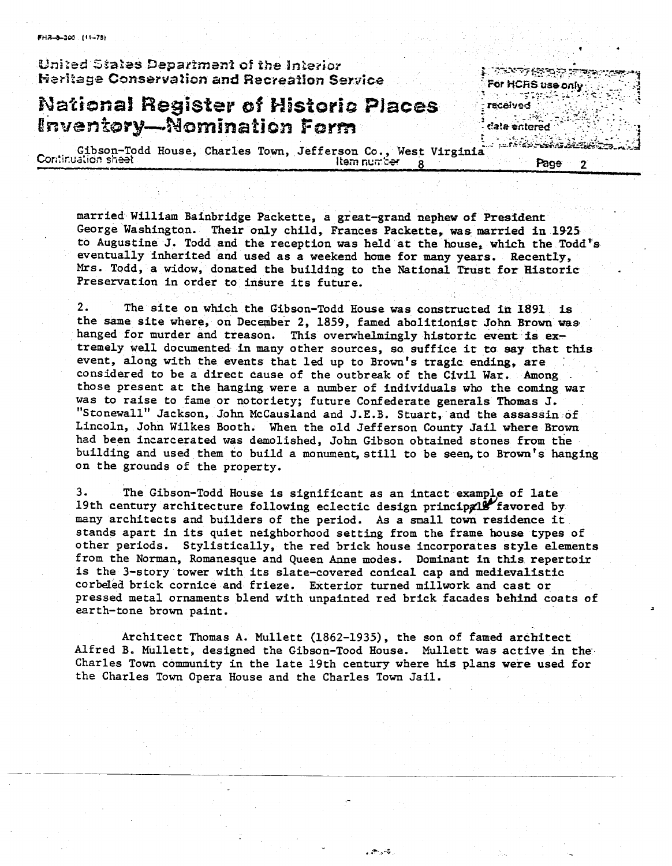FHA-8-300 (11-78)

#### United States Department of the Interior Heritage Conservation and Recreation Service

# **National Register of Historic Places** Inventory-Nomination Form

<u>WANTERSTAR</u> For HCRS use only received ား အမ် data entered

<u>ؽؽڗڲۄڿؠڂ؇</u>ڲ؇؞ؽ Gibson-Todd House, Charles Town, Jefferson Co., West Virginia Continuation sheet Item number 8

Page

 $\overline{2}$ 

married William Bainbridge Packette, a great-grand nephew of President George Washington. Their only child, Frances Packette, was married in 1925 to Augustine J. Todd and the reception was held at the house, which the Todd's eventually inherited and used as a weekend home for many years. Recently, Mrs. Todd, a widow, donated the building to the National Trust for Historic Preservation in order to insure its future.

 $2.$ The site on which the Gibson-Todd House was constructed in 1891 is the same site where, on December 2, 1859, famed abolitionist John Brown was hanged for murder and treason. This overwhelmingly historic event is extremely well documented in many other sources, so suffice it to say that this event, along with the events that led up to Brown's tragic ending, are considered to be a direct cause of the outbreak of the Civil War. Among those present at the hanging were a number of individuals who the coming war was to raise to fame or notoriety; future Confederate generals Thomas J. "Stonewall" Jackson, John McCausland and J.E.B. Stuart, and the assassin of Lincoln, John Wilkes Booth. When the old Jefferson County Jail where Brown had been incarcerated was demolished, John Gibson obtained stones from the building and used them to build a monument, still to be seen, to Brown's hanging on the grounds of the property.

з. The Gibson-Todd House is significant as an intact example of late 19th century architecture following eclectic design principall favored by many architects and builders of the period. As a small town residence it stands apart in its quiet neighborhood setting from the frame house types of other periods. Stylistically, the red brick house incorporates style elements from the Norman, Romanesque and Queen Anne modes. Dominant in this repertoir is the 3-story tower with its slate-covered conical cap and medievalistic corbeled brick cornice and frieze. Exterior turned millwork and cast or pressed metal ornaments blend with unpainted red brick facades behind coats of earth-tone brown paint.

Architect Thomas A. Mullett (1862-1935), the son of famed architect Alfred B. Mullett, designed the Gibson-Tood House. Mullett was active in the Charles Town community in the late 19th century where his plans were used for the Charles Town Opera House and the Charles Town Jail.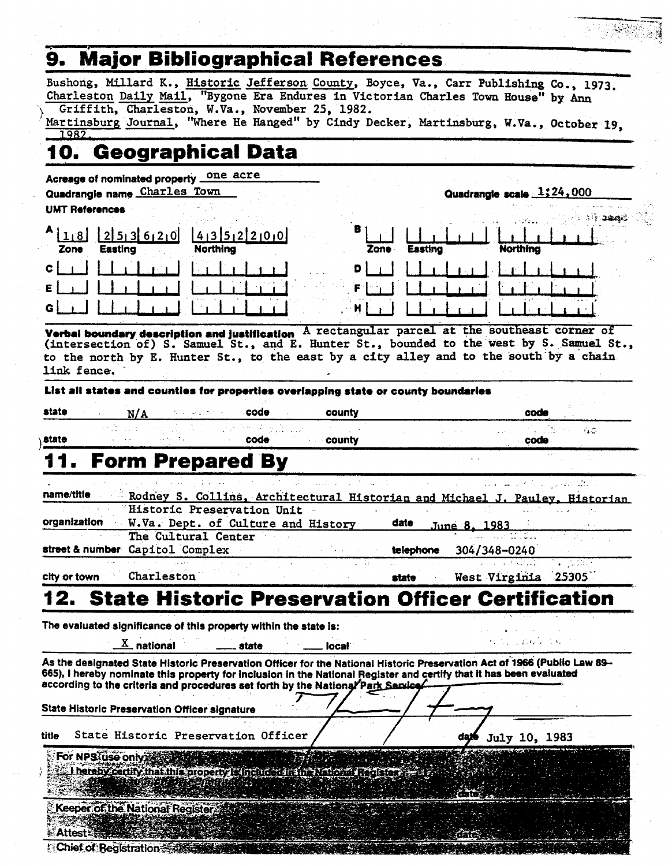# **9. Major Bibiioqraphical References**

Bushong, Millard K., Historic Jefferson County, Boyce, Va., Carr Publishing Co., 1973. Charleston Daily **Mail,** "Bygone Era Endures in Victorian Charles Town **Bouse"** by ) Grif fith, Charleston, W.Va., November **25,** 1982.

Martinsburg Journal, ''Where He Hanged" by Cindy Decker, Martinsburg, **W.Va.,** October **19, <sup>I</sup>YX/.** 

### **10. Geographical Data**

|                           | Acreage of nominated property<br>Quadrangle name Charles Town | one acre                          |                  |                | Quadrangle scale 1:24,000 |
|---------------------------|---------------------------------------------------------------|-----------------------------------|------------------|----------------|---------------------------|
| <b>UMT References</b>     |                                                               |                                   |                  |                | 心臓の病                      |
| A I<br><u>.18</u><br>Zone | 2 5 3 6 2 0 <br>Easting                                       | 4 3 5 2 2 0 0 <br><b>Northing</b> | В<br><b>Zone</b> | <b>Easting</b> | <b>Northing</b>           |
| C.                        |                                                               |                                   | D                |                |                           |
| E.                        |                                                               |                                   |                  |                |                           |
| G                         |                                                               |                                   | alan Mar         |                | <b>Service State</b>      |

Verbal boundary description and lustification A rectangular parcel at the southeast corner of (intersection of) S. Samuel St., and E. Hunter St., bounded to the west by S. Samuel St., to the north by E. Hunter St., to the east by a city alley and to the **south'by** a **'chain**  link fence.

|       | List all states and counties for properties overlapping state or county boundaries |                                                                                                     |  |        |                                                                                                                  |             |  |  |
|-------|------------------------------------------------------------------------------------|-----------------------------------------------------------------------------------------------------|--|--------|------------------------------------------------------------------------------------------------------------------|-------------|--|--|
| state |                                                                                    | $N/A$ code                                                                                          |  | county |                                                                                                                  | code        |  |  |
| state |                                                                                    | s en Antonio (especie a la provincia a la población<br>and the contract of the contract of the code |  | county | a se por estas de la partida de la partida de la partida de la partida de la partida de la partida de la partida | <b>code</b> |  |  |
|       |                                                                                    |                                                                                                     |  |        |                                                                                                                  |             |  |  |

# **11. Form Prepared By**

|              |                                                                             | a sa kacamatan sa karang sa mga bayang mga magalang ng mga magalang ng mga magalang na magalang ng mga mga mga                                                                                                                 |
|--------------|-----------------------------------------------------------------------------|--------------------------------------------------------------------------------------------------------------------------------------------------------------------------------------------------------------------------------|
| name/title   | Rodney S. Collins, Architectural Historian and Michael J. Pauley, Historian |                                                                                                                                                                                                                                |
|              | <b>Historic Preservation Unit</b>                                           | the state of the state and the                                                                                                                                                                                                 |
| organization | W.Va. Dept. of Culture and History                                          | date<br><b>June 8, 1983</b>                                                                                                                                                                                                    |
|              | The Cultural Center                                                         |                                                                                                                                                                                                                                |
|              | street & number Capitol Complex<br>그 사람들은 사람들의 사람들은 사람들의 사람들이 많다.           | 304/348-0240<br>telephone                                                                                                                                                                                                      |
|              |                                                                             | and the company of the company of the company of the company of the company of the company of the company of the company of the company of the company of the company of the company of the company of the company of the comp |

city or town Charleston **State West Virginia** 25305

# **9 2. State Historic Preservation Officer Certification**  national -\$,. state - local

The evaluated significance of this property within the state **Is:** 

As the designated State Historic Preservation Officer for the National Historic Preservation Act of 1966 (Public Law 89-As the designated State Historic Preservation Officer for the National Historic Preservation Act of 1966 (Public La<br>665), I hereby nominate this property for inclusion in the National Register and certify that it has been according to the criteria and procedures set forth by the National Park Sarvice

| State Historic Preservation Officer signature |  |  |                                                        |
|-----------------------------------------------|--|--|--------------------------------------------------------|
|                                               |  |  |                                                        |
| dile State Historic Preservation Officer      |  |  | $\frac{1}{9}$ date $\frac{1}{10}$ , $\frac{1983}{100}$ |

くちも

For NPS use only: I hereby certify that this property is in an a Nata a Fr

Keeper of the National Register

ัAttestଈ

**Chief of Registration 3**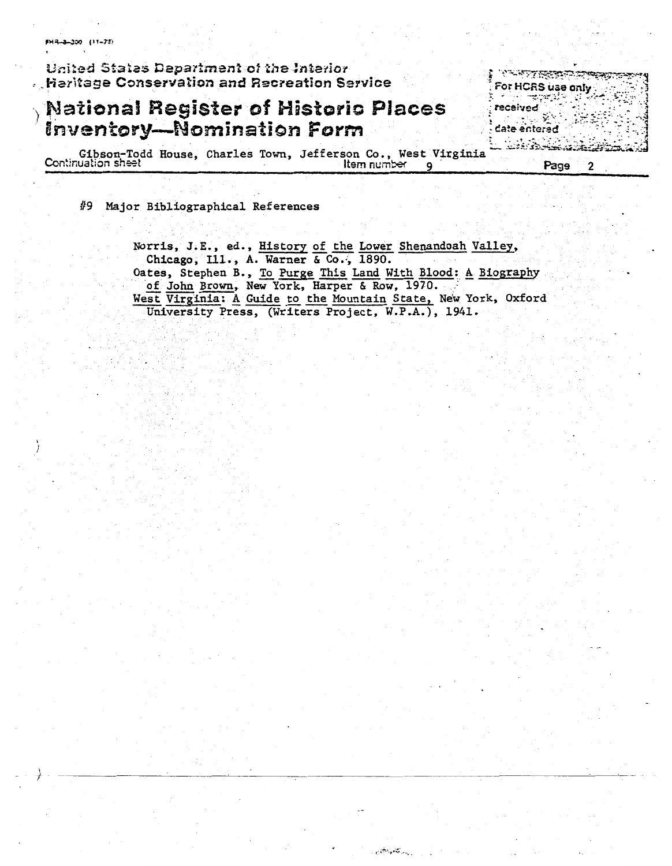FHR-8-300 (11-73)

United States Department of the Interior **Haritage Conservation and Recreation Service** 

# **National Register of Historic Places** Inventory-Nomination Form

**WANTERSHAR** For HCRS use only  $\sim 2000$ received 30 7th 도록 date entered فمخضا والأفتان

Gibson-Todd House, Charles Town, Jefferson Co., West Virginia<br>Continuation sheet the state of the state of the state of the state of the state of the state of the state of the state of the state of the state of the state o

Page

 $\overline{2}$ 

**#9 Major Bibliographical References** 

**Norris, J.E., ed., Histoq of the Lower Shenandoah Valley, Chicago, Ill., A. Warner** & **Co.., 1890. Category Community Contribution:**<br>
Norris, J.E., ed., <u>History of the Lower Shenandoah Valley,</u><br>
Chicago, Ill., A. Warner & Co., 1890.<br>
Dates, Stephen B., <u>To Purge This Land With Blood: A Biography</u><br>
<u>Of John Brown</u>, New rris, J.E., ed., <u>History of the Lower Shenandoal</u><br>Chicago, Ill., A. Warner & Co., 1890.<br>tes, Stephen B., <u>To Purge This Land With Blood:</u><br>of John Brown, New York, Harper & Row, 1970.<br>st Virginia: A Guide to the Mountain S Oates, Stephen B., <u>To Purge This Land With Blood: A Biography</u><br>of John Brown, New York, Harper & Row, 1970.<br>West Virginia: A Guide to the Mountain State, New York, Oxford **University Press, (Writers Project, W.P.A.), 1941.** 

يسر كالمواطنين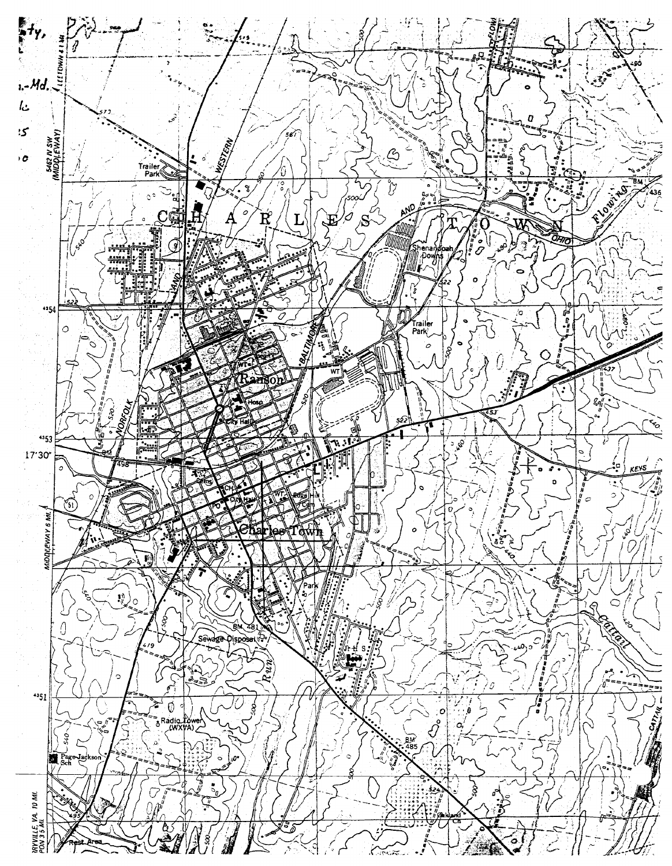